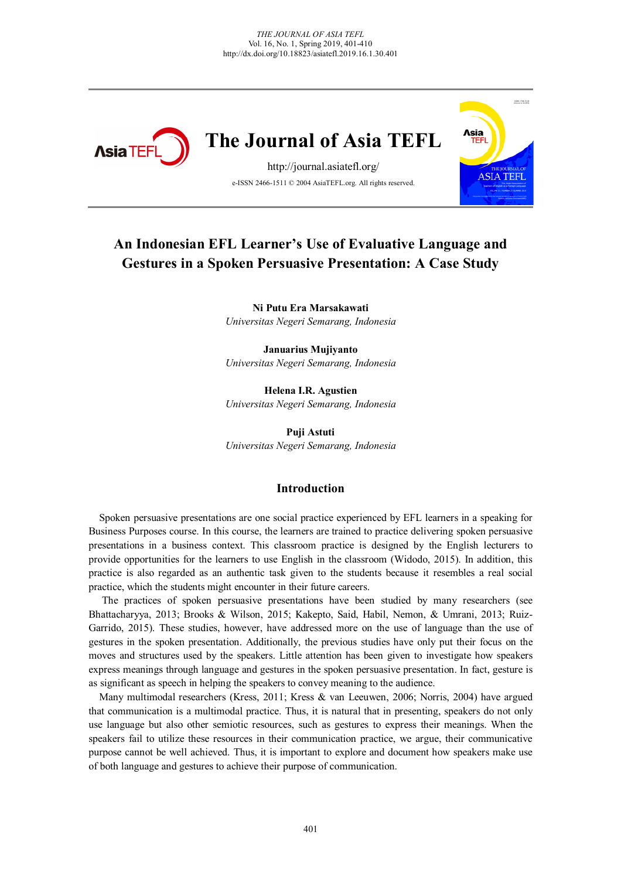

# **The Journal of Asia TEFL**

http://journal.asiatefl.org/ e-ISSN 2466-1511 © 2004 AsiaTEFL.org. All rights reserved.



# **An Indonesian EFL Learner's Use of Evaluative Language and Gestures in a Spoken Persuasive Presentation: A Case Study**

**Ni Putu Era Marsakawati** *Universitas Negeri Semarang, Indonesia*

**Januarius Mujiyanto** *Universitas Negeri Semarang, Indonesia*

**Helena I.R. Agustien** *Universitas Negeri Semarang, Indonesia*

**Puji Astuti**  *Universitas Negeri Semarang, Indonesia*

#### **Introduction**

Spoken persuasive presentations are one social practice experienced by EFL learners in a speaking for Business Purposes course. In this course, the learners are trained to practice delivering spoken persuasive presentations in a business context. This classroom practice is designed by the English lecturers to provide opportunities for the learners to use English in the classroom (Widodo, 2015). In addition, this practice is also regarded as an authentic task given to the students because it resembles a real social practice, which the students might encounter in their future careers.

The practices of spoken persuasive presentations have been studied by many researchers (see Bhattacharyya, 2013; Brooks & Wilson, 2015; Kakepto, Said, Habil, Nemon, & Umrani, 2013; Ruiz-Garrido, 2015). These studies, however, have addressed more on the use of language than the use of gestures in the spoken presentation. Additionally, the previous studies have only put their focus on the moves and structures used by the speakers. Little attention has been given to investigate how speakers express meanings through language and gestures in the spoken persuasive presentation. In fact, gesture is as significant as speech in helping the speakers to convey meaning to the audience.

Many multimodal researchers (Kress, 2011; Kress & van Leeuwen, 2006; Norris, 2004) have argued that communication is a multimodal practice. Thus, it is natural that in presenting, speakers do not only use language but also other semiotic resources, such as gestures to express their meanings. When the speakers fail to utilize these resources in their communication practice, we argue, their communicative purpose cannot be well achieved. Thus, it is important to explore and document how speakers make use of both language and gestures to achieve their purpose of communication.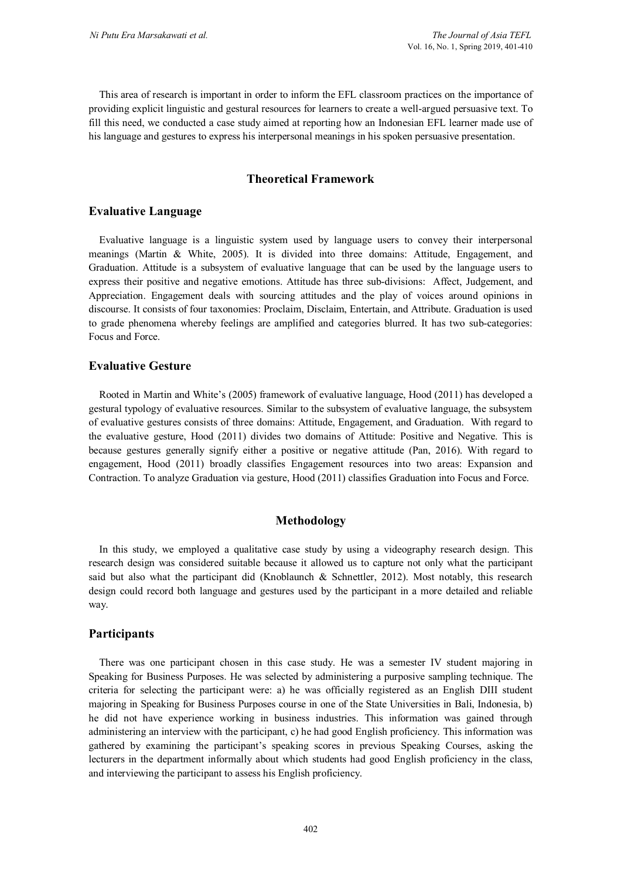This area of research is important in order to inform the EFL classroom practices on the importance of providing explicit linguistic and gestural resources for learners to create a well-argued persuasive text. To fill this need, we conducted a case study aimed at reporting how an Indonesian EFL learner made use of his language and gestures to express his interpersonal meanings in his spoken persuasive presentation.

#### **Theoretical Framework**

#### **Evaluative Language**

Evaluative language is a linguistic system used by language users to convey their interpersonal meanings (Martin & White, 2005). It is divided into three domains: Attitude, Engagement, and Graduation. Attitude is a subsystem of evaluative language that can be used by the language users to express their positive and negative emotions. Attitude has three sub-divisions: Affect, Judgement, and Appreciation. Engagement deals with sourcing attitudes and the play of voices around opinions in discourse. It consists of four taxonomies: Proclaim, Disclaim, Entertain, and Attribute. Graduation is used to grade phenomena whereby feelings are amplified and categories blurred. It has two sub-categories: Focus and Force.

#### **Evaluative Gesture**

Rooted in Martin and White's (2005) framework of evaluative language, Hood (2011) has developed a gestural typology of evaluative resources. Similar to the subsystem of evaluative language, the subsystem of evaluative gestures consists of three domains: Attitude, Engagement, and Graduation. With regard to the evaluative gesture, Hood (2011) divides two domains of Attitude: Positive and Negative. This is because gestures generally signify either a positive or negative attitude (Pan, 2016). With regard to engagement, Hood (2011) broadly classifies Engagement resources into two areas: Expansion and Contraction. To analyze Graduation via gesture, Hood (2011) classifies Graduation into Focus and Force.

#### **Methodology**

In this study, we employed a qualitative case study by using a videography research design. This research design was considered suitable because it allowed us to capture not only what the participant said but also what the participant did (Knoblaunch & Schnettler, 2012). Most notably, this research design could record both language and gestures used by the participant in a more detailed and reliable way.

#### **Participants**

There was one participant chosen in this case study. He was a semester IV student majoring in Speaking for Business Purposes. He was selected by administering a purposive sampling technique. The criteria for selecting the participant were: a) he was officially registered as an English DIII student majoring in Speaking for Business Purposes course in one of the State Universities in Bali, Indonesia, b) he did not have experience working in business industries. This information was gained through administering an interview with the participant, c) he had good English proficiency. This information was gathered by examining the participant's speaking scores in previous Speaking Courses, asking the lecturers in the department informally about which students had good English proficiency in the class, and interviewing the participant to assess his English proficiency.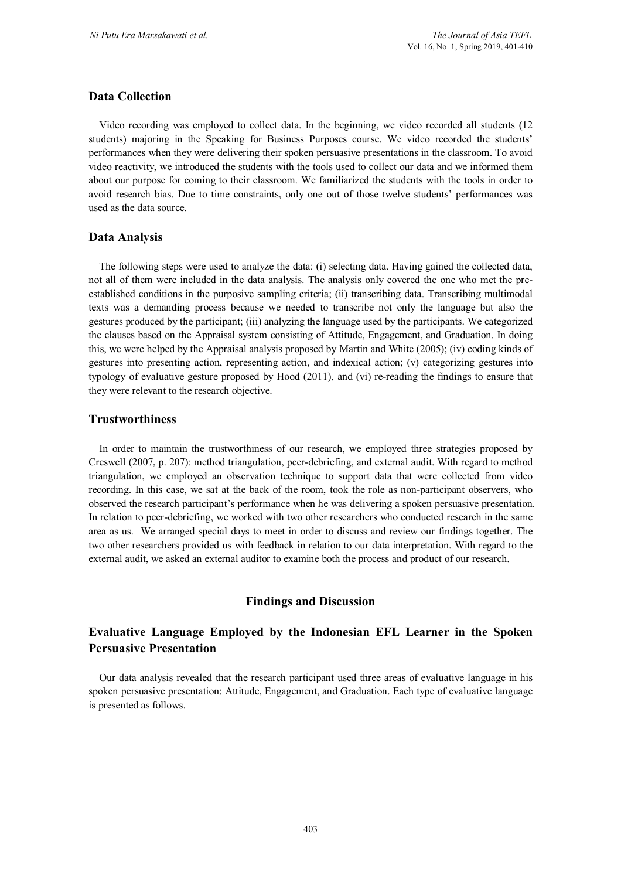# **Data Collection**

Video recording was employed to collect data. In the beginning, we video recorded all students (12 students) majoring in the Speaking for Business Purposes course. We video recorded the students' performances when they were delivering their spoken persuasive presentations in the classroom. To avoid video reactivity, we introduced the students with the tools used to collect our data and we informed them about our purpose for coming to their classroom. We familiarized the students with the tools in order to avoid research bias. Due to time constraints, only one out of those twelve students' performances was used as the data source.

#### **Data Analysis**

The following steps were used to analyze the data: (i) selecting data. Having gained the collected data, not all of them were included in the data analysis. The analysis only covered the one who met the preestablished conditions in the purposive sampling criteria; (ii) transcribing data. Transcribing multimodal texts was a demanding process because we needed to transcribe not only the language but also the gestures produced by the participant; (iii) analyzing the language used by the participants. We categorized the clauses based on the Appraisal system consisting of Attitude, Engagement, and Graduation. In doing this, we were helped by the Appraisal analysis proposed by Martin and White (2005); (iv) coding kinds of gestures into presenting action, representing action, and indexical action; (v) categorizing gestures into typology of evaluative gesture proposed by Hood (2011), and (vi) re-reading the findings to ensure that they were relevant to the research objective.

#### **Trustworthiness**

In order to maintain the trustworthiness of our research, we employed three strategies proposed by Creswell (2007, p. 207): method triangulation, peer-debriefing, and external audit. With regard to method triangulation, we employed an observation technique to support data that were collected from video recording. In this case, we sat at the back of the room, took the role as non-participant observers, who observed the research participant's performance when he was delivering a spoken persuasive presentation. In relation to peer-debriefing, we worked with two other researchers who conducted research in the same area as us. We arranged special days to meet in order to discuss and review our findings together. The two other researchers provided us with feedback in relation to our data interpretation. With regard to the external audit, we asked an external auditor to examine both the process and product of our research.

#### **Findings and Discussion**

# **Evaluative Language Employed by the Indonesian EFL Learner in the Spoken Persuasive Presentation**

Our data analysis revealed that the research participant used three areas of evaluative language in his spoken persuasive presentation: Attitude, Engagement, and Graduation. Each type of evaluative language is presented as follows.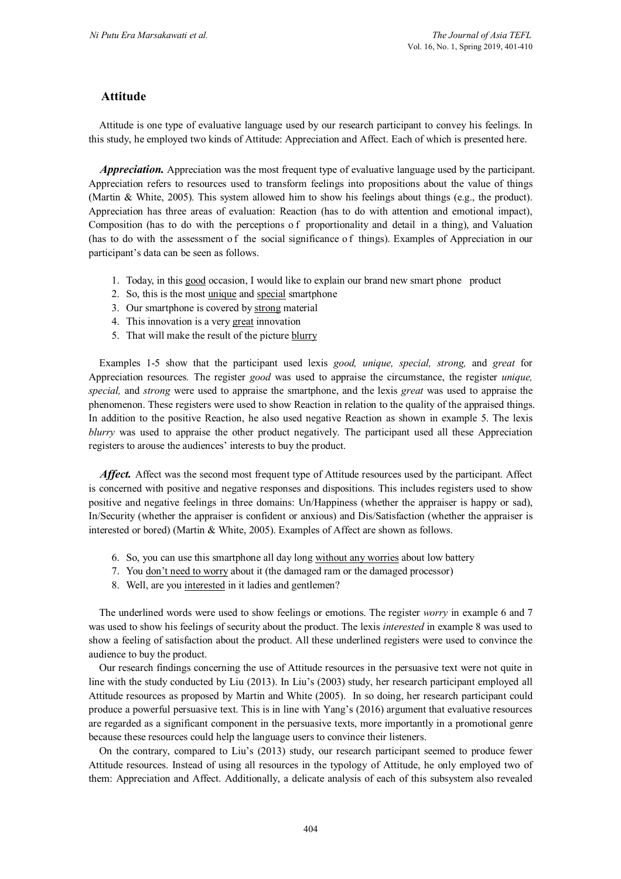# **Attitude**

Attitude is one type of evaluative language used by our research participant to convey his feelings. In this study, he employed two kinds of Attitude: Appreciation and Affect. Each of which is presented here.

*Appreciation.* Appreciation was the most frequent type of evaluative language used by the participant. Appreciation refers to resources used to transform feelings into propositions about the value of things (Martin & White, 2005). This system allowed him to show his feelings about things (e.g., the product). Appreciation has three areas of evaluation: Reaction (has to do with attention and emotional impact), Composition (has to do with the perceptions o f proportionality and detail in a thing), and Valuation (has to do with the assessment o f the social significance o f things). Examples of Appreciation in our participant's data can be seen as follows.

- 1. Today, in this good occasion, I would like to explain our brand new smart phone product
- 2. So, this is the most unique and special smartphone
- 3. Our smartphone is covered by strong material
- 4. This innovation is a very great innovation
- 5. That will make the result of the picture blurry

Examples 1-5 show that the participant used lexis *good, unique, special, strong,* and *great* for Appreciation resources*.* The register *good* was used to appraise the circumstance, the register *unique, special,* and *strong* were used to appraise the smartphone, and the lexis *great* was used to appraise the phenomenon. These registers were used to show Reaction in relation to the quality of the appraised things. In addition to the positive Reaction, he also used negative Reaction as shown in example 5. The lexis *blurry* was used to appraise the other product negatively. The participant used all these Appreciation registers to arouse the audiences' interests to buy the product.

*Affect.* Affect was the second most frequent type of Attitude resources used by the participant. Affect is concerned with positive and negative responses and dispositions. This includes registers used to show positive and negative feelings in three domains: Un/Happiness (whether the appraiser is happy or sad), In/Security (whether the appraiser is confident or anxious) and Dis/Satisfaction (whether the appraiser is interested or bored) (Martin & White, 2005). Examples of Affect are shown as follows.

- 6. So, you can use this smartphone all day long without any worries about low battery
- 7. You don't need to worry about it (the damaged ram or the damaged processor)
- 8. Well, are you interested in it ladies and gentlemen?

The underlined words were used to show feelings or emotions. The register *worry* in example 6 and 7 was used to show his feelings of security about the product. The lexis *interested* in example 8 was used to show a feeling of satisfaction about the product. All these underlined registers were used to convince the audience to buy the product.

Our research findings concerning the use of Attitude resources in the persuasive text were not quite in line with the study conducted by Liu (2013). In Liu's (2003) study, her research participant employed all Attitude resources as proposed by Martin and White (2005). In so doing, her research participant could produce a powerful persuasive text. This is in line with Yang's (2016) argument that evaluative resources are regarded as a significant component in the persuasive texts, more importantly in a promotional genre because these resources could help the language users to convince their listeners.

On the contrary, compared to Liu's (2013) study, our research participant seemed to produce fewer Attitude resources. Instead of using all resources in the typology of Attitude, he only employed two of them: Appreciation and Affect. Additionally, a delicate analysis of each of this subsystem also revealed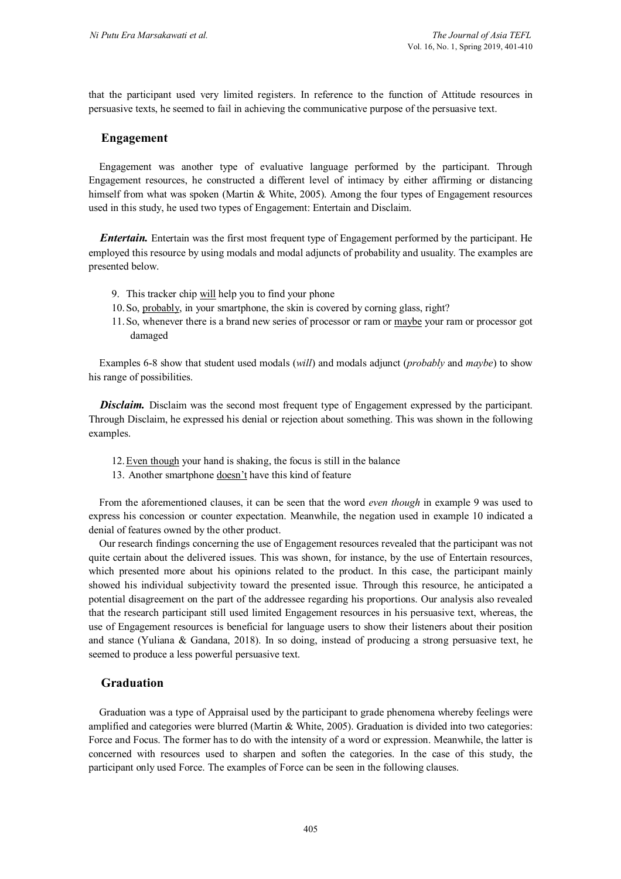that the participant used very limited registers. In reference to the function of Attitude resources in persuasive texts, he seemed to fail in achieving the communicative purpose of the persuasive text.

# **Engagement**

Engagement was another type of evaluative language performed by the participant. Through Engagement resources, he constructed a different level of intimacy by either affirming or distancing himself from what was spoken (Martin & White, 2005). Among the four types of Engagement resources used in this study, he used two types of Engagement: Entertain and Disclaim.

*Entertain.* Entertain was the first most frequent type of Engagement performed by the participant. He employed this resource by using modals and modal adjuncts of probability and usuality. The examples are presented below.

- 9. This tracker chip will help you to find your phone
- 10.So, probably, in your smartphone, the skin is covered by corning glass, right?
- 11.So, whenever there is a brand new series of processor or ram or maybe your ram or processor got damaged

Examples 6-8 show that student used modals (*will*) and modals adjunct (*probably* and *maybe*) to show his range of possibilities.

**Disclaim.** Disclaim was the second most frequent type of Engagement expressed by the participant. Through Disclaim, he expressed his denial or rejection about something. This was shown in the following examples.

- 12.Even though your hand is shaking, the focus is still in the balance
- 13. Another smartphone doesn't have this kind of feature

From the aforementioned clauses, it can be seen that the word *even though* in example 9 was used to express his concession or counter expectation. Meanwhile, the negation used in example 10 indicated a denial of features owned by the other product.

Our research findings concerning the use of Engagement resources revealed that the participant was not quite certain about the delivered issues. This was shown, for instance, by the use of Entertain resources, which presented more about his opinions related to the product. In this case, the participant mainly showed his individual subjectivity toward the presented issue. Through this resource, he anticipated a potential disagreement on the part of the addressee regarding his proportions. Our analysis also revealed that the research participant still used limited Engagement resources in his persuasive text, whereas, the use of Engagement resources is beneficial for language users to show their listeners about their position and stance (Yuliana & Gandana, 2018). In so doing, instead of producing a strong persuasive text, he seemed to produce a less powerful persuasive text.

#### **Graduation**

Graduation was a type of Appraisal used by the participant to grade phenomena whereby feelings were amplified and categories were blurred (Martin & White, 2005). Graduation is divided into two categories: Force and Focus. The former has to do with the intensity of a word or expression. Meanwhile, the latter is concerned with resources used to sharpen and soften the categories. In the case of this study, the participant only used Force. The examples of Force can be seen in the following clauses.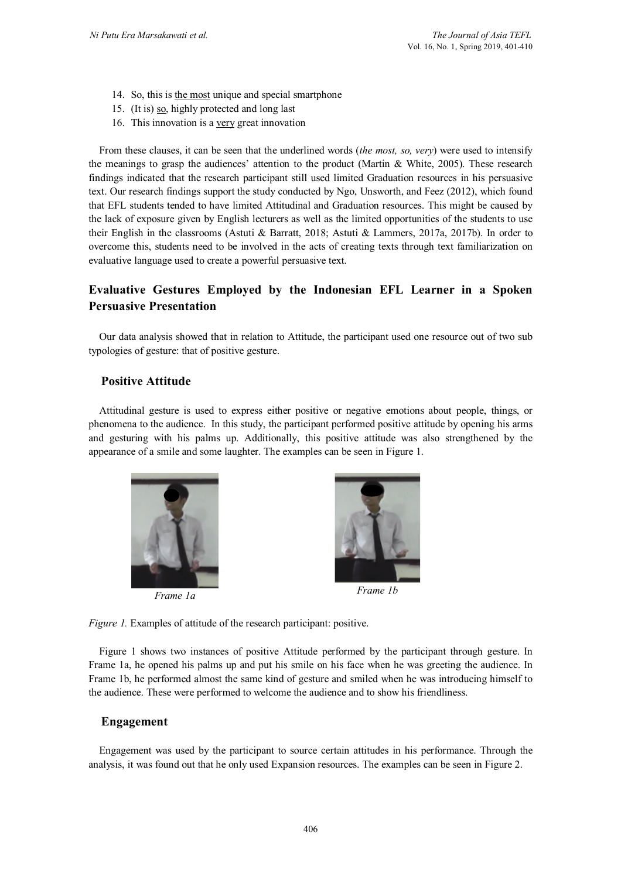- 14. So, this is the most unique and special smartphone
- 15. (It is) so, highly protected and long last
- 16. This innovation is a very great innovation

From these clauses, it can be seen that the underlined words (*the most, so, very*) were used to intensify the meanings to grasp the audiences' attention to the product (Martin & White, 2005). These research findings indicated that the research participant still used limited Graduation resources in his persuasive text. Our research findings support the study conducted by Ngo, Unsworth, and Feez (2012), which found that EFL students tended to have limited Attitudinal and Graduation resources. This might be caused by the lack of exposure given by English lecturers as well as the limited opportunities of the students to use their English in the classrooms (Astuti & Barratt, 2018; Astuti & Lammers, 2017a, 2017b). In order to overcome this, students need to be involved in the acts of creating texts through text familiarization on evaluative language used to create a powerful persuasive text.

# **Evaluative Gestures Employed by the Indonesian EFL Learner in a Spoken Persuasive Presentation**

Our data analysis showed that in relation to Attitude, the participant used one resource out of two sub typologies of gesture: that of positive gesture.

#### **Positive Attitude**

Attitudinal gesture is used to express either positive or negative emotions about people, things, or phenomena to the audience. In this study, the participant performed positive attitude by opening his arms and gesturing with his palms up. Additionally, this positive attitude was also strengthened by the appearance of a smile and some laughter. The examples can be seen in Figure 1.



*Frame 1a Frame 1b*



*Figure 1.* Examples of attitude of the research participant: positive.

Figure 1 shows two instances of positive Attitude performed by the participant through gesture. In Frame 1a, he opened his palms up and put his smile on his face when he was greeting the audience. In Frame 1b, he performed almost the same kind of gesture and smiled when he was introducing himself to the audience. These were performed to welcome the audience and to show his friendliness.

#### **Engagement**

Engagement was used by the participant to source certain attitudes in his performance. Through the analysis, it was found out that he only used Expansion resources. The examples can be seen in Figure 2.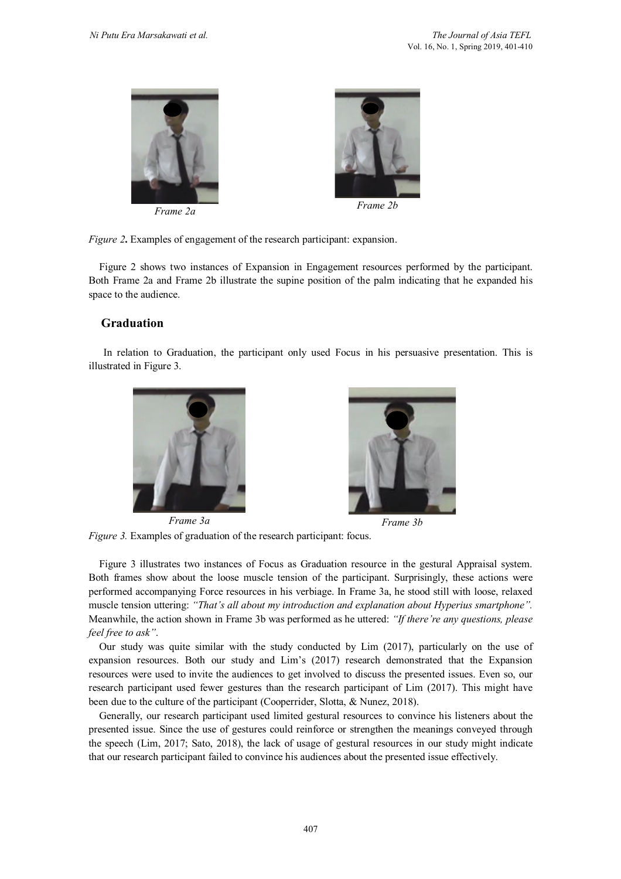



*Figure 2***.** Examples of engagement of the research participant: expansion.

Figure 2 shows two instances of Expansion in Engagement resources performed by the participant. Both Frame 2a and Frame 2b illustrate the supine position of the palm indicating that he expanded his space to the audience.

# **Graduation**

In relation to Graduation, the participant only used Focus in his persuasive presentation. This is illustrated in Figure 3.





*Frame 3a Frame 3b*

*Figure 3.* Examples of graduation of the research participant: focus.

Figure 3 illustrates two instances of Focus as Graduation resource in the gestural Appraisal system. Both frames show about the loose muscle tension of the participant. Surprisingly, these actions were performed accompanying Force resources in his verbiage. In Frame 3a, he stood still with loose, relaxed muscle tension uttering: *"That's all about my introduction and explanation about Hyperius smartphone".*  Meanwhile, the action shown in Frame 3b was performed as he uttered: *"If there're any questions, please feel free to ask"*.

Our study was quite similar with the study conducted by Lim (2017), particularly on the use of expansion resources. Both our study and Lim's (2017) research demonstrated that the Expansion resources were used to invite the audiences to get involved to discuss the presented issues. Even so, our research participant used fewer gestures than the research participant of Lim (2017). This might have been due to the culture of the participant (Cooperrider, Slotta, & Nunez, 2018).

Generally, our research participant used limited gestural resources to convince his listeners about the presented issue. Since the use of gestures could reinforce or strengthen the meanings conveyed through the speech (Lim, 2017; Sato, 2018), the lack of usage of gestural resources in our study might indicate that our research participant failed to convince his audiences about the presented issue effectively.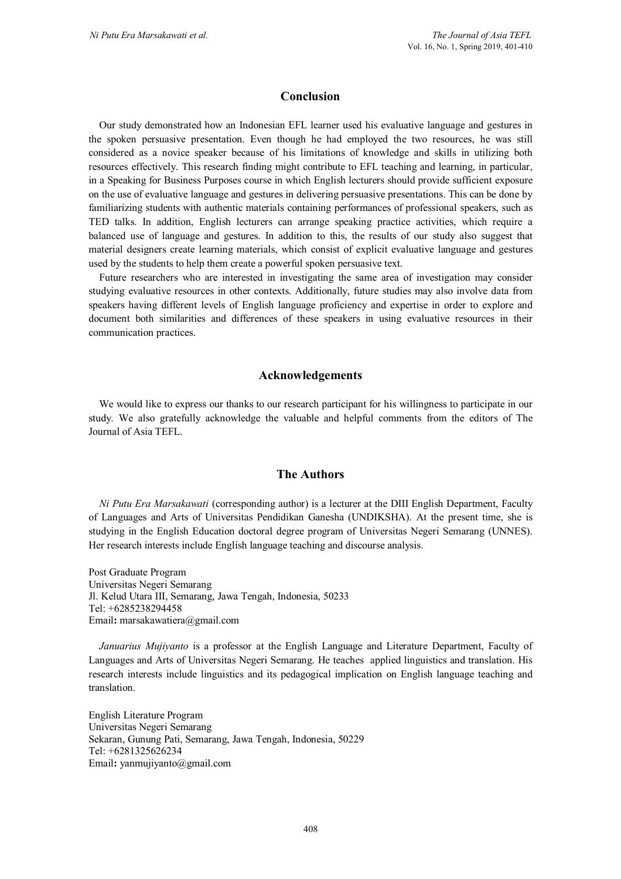#### **Conclusion**

Our study demonstrated how an Indonesian EFL learner used his evaluative language and gestures in the spoken persuasive presentation. Even though he had employed the two resources, he was still considered as a novice speaker because of his limitations of knowledge and skills in utilizing both resources effectively. This research finding might contribute to EFL teaching and learning, in particular, in a Speaking for Business Purposes course in which English lecturers should provide sufficient exposure on the use of evaluative language and gestures in delivering persuasive presentations. This can be done by familiarizing students with authentic materials containing performances of professional speakers, such as TED talks. In addition, English lecturers can arrange speaking practice activities, which require a balanced use of language and gestures. In addition to this, the results of our study also suggest that material designers create learning materials, which consist of explicit evaluative language and gestures used by the students to help them create a powerful spoken persuasive text.

Future researchers who are interested in investigating the same area of investigation may consider studying evaluative resources in other contexts. Additionally, future studies may also involve data from speakers having different levels of English language proficiency and expertise in order to explore and document both similarities and differences of these speakers in using evaluative resources in their communication practices.

#### **Acknowledgements**

We would like to express our thanks to our research participant for his willingness to participate in our study. We also gratefully acknowledge the valuable and helpful comments from the editors of The Journal of Asia TEFL.

#### **The Authors**

*Ni Putu Era Marsakawati* (corresponding author) is a lecturer at the DIII English Department, Faculty of Languages and Arts of Universitas Pendidikan Ganesha (UNDIKSHA). At the present time, she is studying in the English Education doctoral degree program of Universitas Negeri Semarang (UNNES). Her research interests include English language teaching and discourse analysis.

Post Graduate Program Universitas Negeri Semarang Jl. Kelud Utara III, Semarang, Jawa Tengah, Indonesia, 50233 Tel: +6285238294458 Email**:** marsakawatiera@gmail.com

*Januarius Mujiyanto* is a professor at the English Language and Literature Department, Faculty of Languages and Arts of Universitas Negeri Semarang. He teaches applied linguistics and translation. His research interests include linguistics and its pedagogical implication on English language teaching and translation.

English Literature Program Universitas Negeri Semarang Sekaran, Gunung Pati, Semarang, Jawa Tengah, Indonesia, 50229 Tel: +6281325626234 Email**:** yanmujiyanto@gmail.com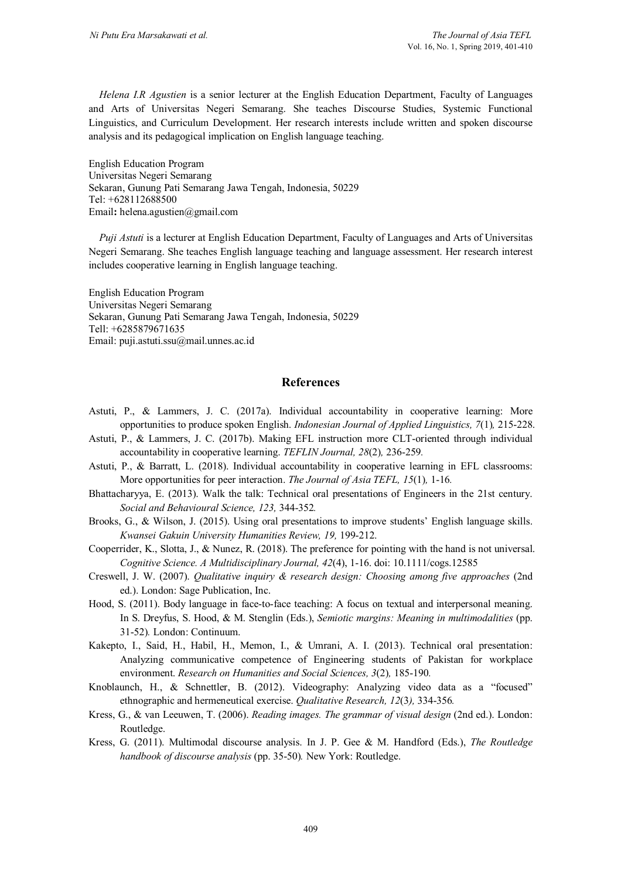*Helena I.R Agustien* is a senior lecturer at the English Education Department, Faculty of Languages and Arts of Universitas Negeri Semarang. She teaches Discourse Studies, Systemic Functional Linguistics, and Curriculum Development. Her research interests include written and spoken discourse analysis and its pedagogical implication on English language teaching.

English Education Program Universitas Negeri Semarang Sekaran, Gunung Pati Semarang Jawa Tengah, Indonesia, 50229 Tel: +628112688500 Email**:** helena.agustien@gmail.com

*Puji Astuti* is a lecturer at English Education Department, Faculty of Languages and Arts of Universitas Negeri Semarang. She teaches English language teaching and language assessment. Her research interest includes cooperative learning in English language teaching.

English Education Program Universitas Negeri Semarang Sekaran, Gunung Pati Semarang Jawa Tengah, Indonesia, 50229 Tell: +6285879671635 Email: puji.astuti.ssu@mail.unnes.ac.id

#### **References**

- Astuti, P., & Lammers, J. C. (2017a). Individual accountability in cooperative learning: More opportunities to produce spoken English. *Indonesian Journal of Applied Linguistics, 7*(1)*,* 215-228.
- Astuti, P., & Lammers, J. C. (2017b). Making EFL instruction more CLT-oriented through individual accountability in cooperative learning. *TEFLIN Journal, 28*(2)*,* 236-259*.*
- Astuti, P., & Barratt, L. (2018). Individual accountability in cooperative learning in EFL classrooms: More opportunities for peer interaction. *The Journal of Asia TEFL, 15*(1)*,* 1-16*.*
- Bhattacharyya, E. (2013). Walk the talk: Technical oral presentations of Engineers in the 21st century. *Social and Behavioural Science, 123,* 344-352*.*
- Brooks, G., & Wilson, J. (2015). Using oral presentations to improve students' English language skills. *Kwansei Gakuin University Humanities Review, 19,* 199-212.
- Cooperrider, K., Slotta, J., & Nunez, R. (2018). The preference for pointing with the hand is not universal. *Cognitive Science. A Multidisciplinary Journal, 42*(4), 1-16. doi: 10.1111/cogs.12585
- Creswell, J. W. (2007). *Qualitative inquiry & research design: Choosing among five approaches* (2nd ed.). London: Sage Publication, Inc.
- Hood, S. (2011). Body language in face-to-face teaching: A focus on textual and interpersonal meaning. In S. Dreyfus, S. Hood, & M. Stenglin (Eds.), *Semiotic margins: Meaning in multimodalities* (pp. 31-52)*.* London: Continuum.
- Kakepto, I., Said, H., Habil, H., Memon, I., & Umrani, A. I. (2013). Technical oral presentation: Analyzing communicative competence of Engineering students of Pakistan for workplace environment. *Research on Humanities and Social Sciences, 3*(2)*,* 185-190*.*
- Knoblaunch, H., & Schnettler, B. (2012). Videography: Analyzing video data as a "focused" ethnographic and hermeneutical exercise. *Qualitative Research, 12*(3*),* 334-356*.*
- Kress, G., & van Leeuwen, T. (2006). *Reading images. The grammar of visual design* (2nd ed.). London: Routledge.
- Kress, G. (2011). Multimodal discourse analysis. In J. P. Gee & M. Handford (Eds.), *The Routledge handbook of discourse analysis* (pp. 35-50)*.* New York: Routledge.